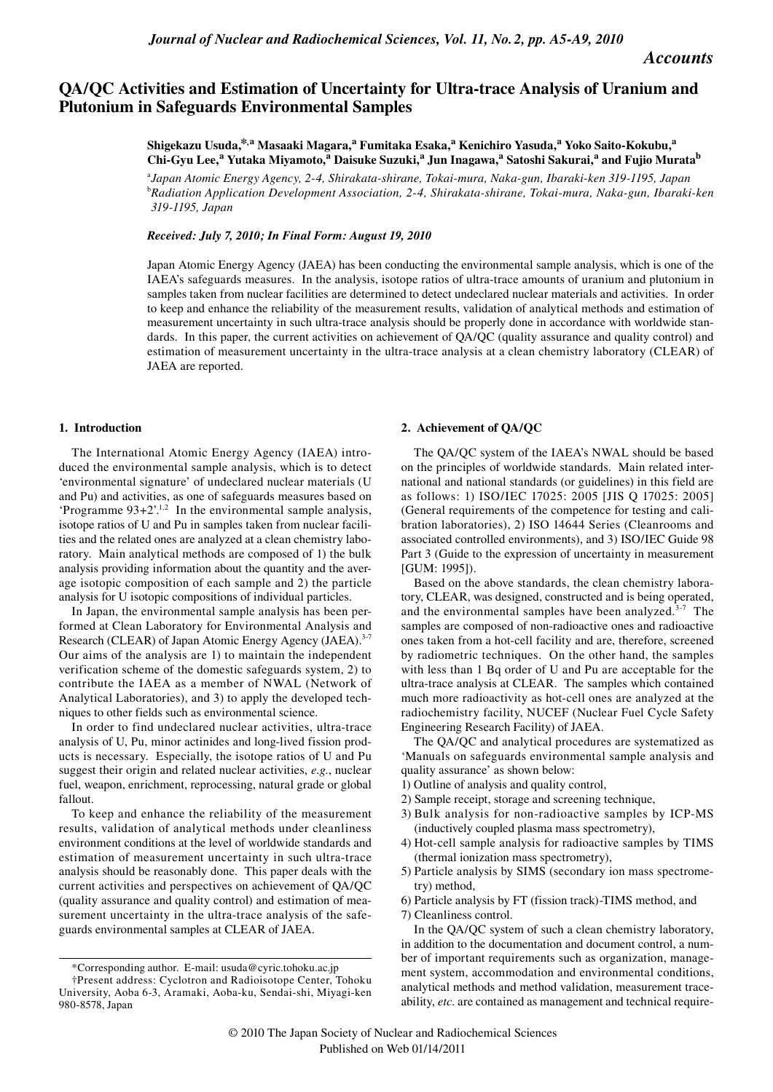# **QA/QC Activities and Estimation of Uncertainty for Ultra-trace Analysis of Uranium and Plutonium in Safeguards Environmental Samples**

**Shigekazu Usuda,\*,a Masaaki Magara,<sup>a</sup> Fumitaka Esaka,<sup>a</sup> Kenichiro Yasuda,<sup>a</sup> Yoko Saito-Kokubu,<sup>a</sup> Chi-Gyu Lee,<sup>a</sup> Yutaka Miyamoto,<sup>a</sup> Daisuke Suzuki,<sup>a</sup> Jun Inagawa,<sup>a</sup> Satoshi Sakurai,<sup>a</sup> and Fujio Muratab**

a *Japan Atomic Energy Agency, 2-4, Shirakata-shirane, Tokai-mura, Naka-gun, Ibaraki-ken 319-1195, Japan* b *Radiation Application Development Association, 2-4, Shirakata-shirane, Tokai-mura, Naka-gun, Ibaraki-ken 319-1195, Japan*

## *Received: July 7, 2010; In Final Form: August 19, 2010*

Japan Atomic Energy Agency (JAEA) has been conducting the environmental sample analysis, which is one of the IAEA's safeguards measures. In the analysis, isotope ratios of ultra-trace amounts of uranium and plutonium in samples taken from nuclear facilities are determined to detect undeclared nuclear materials and activities. In order to keep and enhance the reliability of the measurement results, validation of analytical methods and estimation of measurement uncertainty in such ultra-trace analysis should be properly done in accordance with worldwide standards. In this paper, the current activities on achievement of QA/QC (quality assurance and quality control) and estimation of measurement uncertainty in the ultra-trace analysis at a clean chemistry laboratory (CLEAR) of JAEA are reported.

#### **1. Introduction**

The International Atomic Energy Agency (IAEA) introduced the environmental sample analysis, which is to detect 'environmental signature' of undeclared nuclear materials (U and Pu) and activities, as one of safeguards measures based on 'Programme  $93+2$ '.<sup>1,2</sup> In the environmental sample analysis, isotope ratios of U and Pu in samples taken from nuclear facilities and the related ones are analyzed at a clean chemistry laboratory. Main analytical methods are composed of 1) the bulk analysis providing information about the quantity and the average isotopic composition of each sample and 2) the particle analysis for U isotopic compositions of individual particles.

In Japan, the environmental sample analysis has been performed at Clean Laboratory for Environmental Analysis and Research (CLEAR) of Japan Atomic Energy Agency (JAEA).<sup>3-7</sup> Our aims of the analysis are 1) to maintain the independent verification scheme of the domestic safeguards system, 2) to contribute the IAEA as a member of NWAL (Network of Analytical Laboratories), and 3) to apply the developed techniques to other fields such as environmental science.

In order to find undeclared nuclear activities, ultra-trace analysis of U, Pu, minor actinides and long-lived fission products is necessary. Especially, the isotope ratios of U and Pu suggest their origin and related nuclear activities, *e.g.*, nuclear fuel, weapon, enrichment, reprocessing, natural grade or global fallout.

To keep and enhance the reliability of the measurement results, validation of analytical methods under cleanliness environment conditions at the level of worldwide standards and estimation of measurement uncertainty in such ultra-trace analysis should be reasonably done. This paper deals with the current activities and perspectives on achievement of QA/QC (quality assurance and quality control) and estimation of measurement uncertainty in the ultra-trace analysis of the safeguards environmental samples at CLEAR of JAEA.

#### **2. Achievement of QA/QC**

The QA/QC system of the IAEA's NWAL should be based on the principles of worldwide standards. Main related international and national standards (or guidelines) in this field are as follows: 1) ISO/IEC 17025: 2005 [JIS Q 17025: 2005] (General requirements of the competence for testing and calibration laboratories), 2) ISO 14644 Series (Cleanrooms and associated controlled environments), and 3) ISO/IEC Guide 98 Part 3 (Guide to the expression of uncertainty in measurement [GUM: 1995]).

Based on the above standards, the clean chemistry laboratory, CLEAR, was designed, constructed and is being operated, and the environmental samples have been analyzed.<sup>3-7</sup> The samples are composed of non-radioactive ones and radioactive ones taken from a hot-cell facility and are, therefore, screened by radiometric techniques. On the other hand, the samples with less than 1 Bq order of U and Pu are acceptable for the ultra-trace analysis at CLEAR. The samples which contained much more radioactivity as hot-cell ones are analyzed at the radiochemistry facility, NUCEF (Nuclear Fuel Cycle Safety Engineering Research Facility) of JAEA.

The QA/QC and analytical procedures are systematized as 'Manuals on safeguards environmental sample analysis and quality assurance' as shown below:

- 1) Outline of analysis and quality control,
- 2) Sample receipt, storage and screening technique,
- 3) Bulk analysis for non-radioactive samples by ICP-MS (inductively coupled plasma mass spectrometry),
- 4) Hot-cell sample analysis for radioactive samples by TIMS (thermal ionization mass spectrometry),
- 5) Particle analysis by SIMS (secondary ion mass spectrometry) method,
- 6) Particle analysis by FT (fission track)-TIMS method, and 7) Cleanliness control.

<sup>\*</sup>Corresponding author. E-mail: usuda@cyric.tohoku.ac.jp

<sup>†</sup>Present address: Cyclotron and Radioisotope Center, Tohoku University, Aoba 6-3, Aramaki, Aoba-ku, Sendai-shi, Miyagi-ken 980-8578, Japan

In the QA/QC system of such a clean chemistry laboratory, in addition to the documentation and document control, a number of important requirements such as organization, management system, accommodation and environmental conditions, analytical methods and method validation, measurement traceability, *etc*. are contained as management and technical require-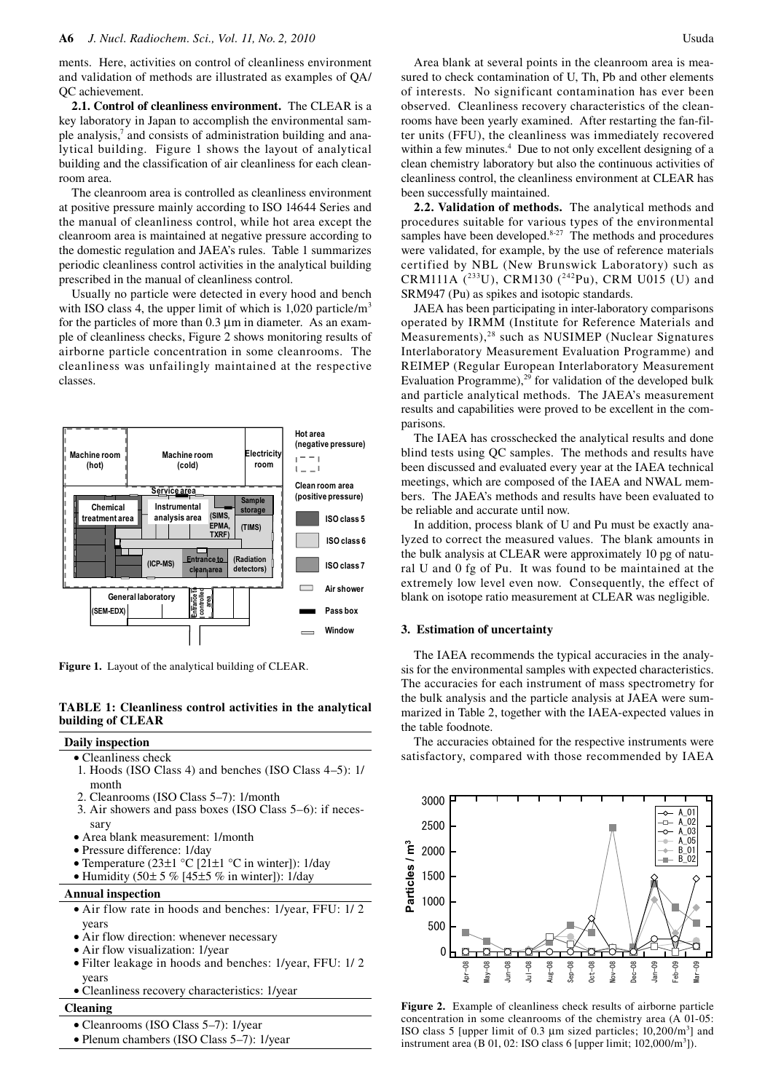ments. Here, activities on control of cleanliness environment and validation of methods are illustrated as examples of QA/ QC achievement.

**2.1. Control of cleanliness environment.** The CLEAR is a key laboratory in Japan to accomplish the environmental sample analysis,<sup>7</sup> and consists of administration building and analytical building. Figure 1 shows the layout of analytical building and the classification of air cleanliness for each cleanroom area.

The cleanroom area is controlled as cleanliness environment at positive pressure mainly according to ISO 14644 Series and the manual of cleanliness control, while hot area except the cleanroom area is maintained at negative pressure according to the domestic regulation and JAEA's rules. Table 1 summarizes periodic cleanliness control activities in the analytical building prescribed in the manual of cleanliness control.

Usually no particle were detected in every hood and bench with ISO class 4, the upper limit of which is  $1,020$  particle/m<sup>3</sup> for the particles of more than  $0.3 \mu$ m in diameter. As an example of cleanliness checks, Figure 2 shows monitoring results of airborne particle concentration in some cleanrooms. The cleanliness was unfailingly maintained at the respective classes.



**Figure 1.** Layout of the analytical building of CLEAR.

# **TABLE 1: Cleanliness control activities in the analytical building of CLEAR**

## **Daily inspection**

- Cleanliness check
- 1. Hoods (ISO Class 4) and benches (ISO Class 4–5): 1/ month
- 2. Cleanrooms (ISO Class 5–7): 1/month
- 3. Air showers and pass boxes (ISO Class 5–6): if necessary
- Area blank measurement: 1/month
- Pressure difference: 1/day
- Temperature (23 $\pm$ 1 °C [21 $\pm$ 1 °C in winter]): 1/day
- Humidity (50 $\pm$  5 % [45 $\pm$ 5 % in winter]): 1/day

## **Annual inspection**

- Air flow rate in hoods and benches: 1/year, FFU: 1/ 2 years
- Air flow direction: whenever necessary
- Air flow visualization: 1/year
- Filter leakage in hoods and benches: 1/year, FFU: 1/ 2 years
- Cleanliness recovery characteristics: 1/year

# **Cleaning**

- Cleanrooms (ISO Class 5–7): 1/year
- Plenum chambers (ISO Class 5–7): 1/year

Area blank at several points in the cleanroom area is measured to check contamination of U, Th, Pb and other elements of interests. No significant contamination has ever been observed. Cleanliness recovery characteristics of the cleanrooms have been yearly examined. After restarting the fan-filter units (FFU), the cleanliness was immediately recovered within a few minutes.<sup>4</sup> Due to not only excellent designing of a clean chemistry laboratory but also the continuous activities of cleanliness control, the cleanliness environment at CLEAR has been successfully maintained.

**2.2. Validation of methods.** The analytical methods and procedures suitable for various types of the environmental samples have been developed. $8-27$  The methods and procedures were validated, for example, by the use of reference materials certified by NBL (New Brunswick Laboratory) such as CRM111A  $(^{233}U)$ , CRM130  $(^{242}Pu)$ , CRM U015 (U) and SRM947 (Pu) as spikes and isotopic standards.

JAEA has been participating in inter-laboratory comparisons operated by IRMM (Institute for Reference Materials and Measurements),<sup>28</sup> such as NUSIMEP (Nuclear Signatures Interlaboratory Measurement Evaluation Programme) and REIMEP (Regular European Interlaboratory Measurement Evaluation Programme), $^{29}$  for validation of the developed bulk and particle analytical methods. The JAEA's measurement results and capabilities were proved to be excellent in the comparisons.

The IAEA has crosschecked the analytical results and done blind tests using QC samples. The methods and results have been discussed and evaluated every year at the IAEA technical meetings, which are composed of the IAEA and NWAL members. The JAEA's methods and results have been evaluated to be reliable and accurate until now.

In addition, process blank of U and Pu must be exactly analyzed to correct the measured values. The blank amounts in the bulk analysis at CLEAR were approximately 10 pg of natural U and 0 fg of Pu. It was found to be maintained at the extremely low level even now. Consequently, the effect of blank on isotope ratio measurement at CLEAR was negligible.

## **3. Estimation of uncertainty**

The IAEA recommends the typical accuracies in the analysis for the environmental samples with expected characteristics. The accuracies for each instrument of mass spectrometry for the bulk analysis and the particle analysis at JAEA were summarized in Table 2, together with the IAEA-expected values in the table foodnote.

The accuracies obtained for the respective instruments were satisfactory, compared with those recommended by IAEA



**Figure 2.** Example of cleanliness check results of airborne particle concentration in some cleanrooms of the chemistry area (A 01-05: ISO class 5 [upper limit of 0.3  $\mu$ m sized particles; 10,200/m<sup>3</sup>] and instrument area (B 01, 02: ISO class 6 [upper limit;  $102,000/m<sup>3</sup>$ ]).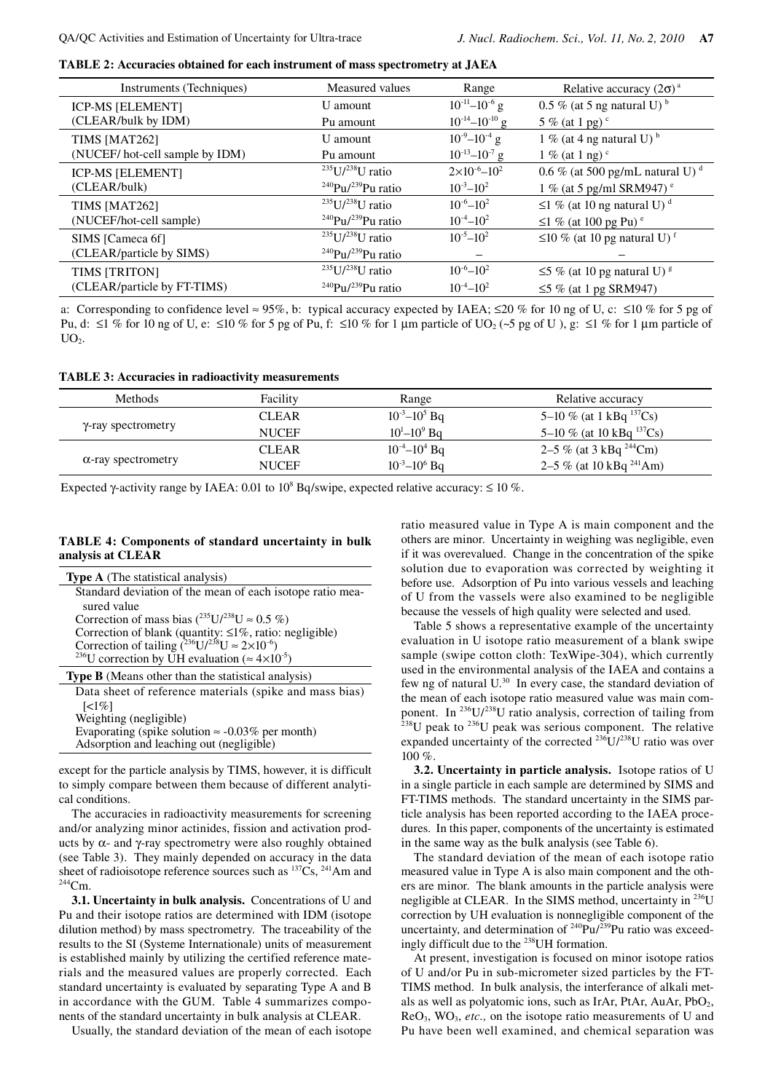**TABLE 2: Accuracies obtained for each instrument of mass spectrometry at JAEA**

| Instruments (Techniques)       | Measured values                            | Range                   | Relative accuracy $(2\sigma)^a$               |  |
|--------------------------------|--------------------------------------------|-------------------------|-----------------------------------------------|--|
| <b>ICP-MS [ELEMENT]</b>        | U amount                                   | $10^{-11} - 10^{-6}$ g  | $0.5\%$ (at 5 ng natural U) <sup>b</sup>      |  |
| (CLEAR/bulk by IDM)            | Pu amount                                  | $10^{-14} - 10^{-10}$ g | 5 % (at 1 pg) $\degree$                       |  |
| TIMS [MAT262]                  | U amount                                   | $10^{-9} - 10^{-4}$ g   | 1 % (at 4 ng natural U) $^{\rm b}$            |  |
| (NUCEF/hot-cell sample by IDM) | Pu amount                                  | $10^{-13} - 10^{-7}$ g  | $1\%$ (at 1 ng) <sup>c</sup>                  |  |
| <b>ICP-MS [ELEMENT]</b>        | $^{235}U/^{238}U$ ratio                    | $2\times10^{-6}-10^{2}$ | 0.6 % (at 500 pg/mL natural U) $^d$           |  |
| (CLEAR/bulk)                   | <sup>240</sup> Pu/ <sup>239</sup> Pu ratio | $10^{-3} - 10^{2}$      | 1 % (at 5 pg/ml SRM947) $^{\circ}$            |  |
| TIMS [MAT262]                  | $^{235}$ U $/^{238}$ U ratio               | $10^{-6} - 10^{2}$      | $\leq$ 1 % (at 10 ng natural U) <sup>d</sup>  |  |
| (NUCEF/hot-cell sample)        | <sup>240</sup> Pu/ <sup>239</sup> Pu ratio | $10^{-4} - 10^{2}$      | $\leq$ 1 % (at 100 pg Pu) $\degree$           |  |
| SIMS [Cameca 6f]               | $^{235}$ U/ $^{238}$ U ratio               | $10^{-5} - 10^{2}$      | $\leq$ 10 % (at 10 pg natural U) <sup>f</sup> |  |
| (CLEAR/particle by SIMS)       | <sup>240</sup> Pu/ <sup>239</sup> Pu ratio |                         |                                               |  |
| TIMS [TRITON]                  | $^{235}U/^{238}U$ ratio                    | $10^{-6} - 10^{2}$      | $\leq$ 5 % (at 10 pg natural U) <sup>g</sup>  |  |
| (CLEAR/particle by FT-TIMS)    | <sup>240</sup> Pu/ <sup>239</sup> Pu ratio | $10^{-4} - 10^{2}$      | $\leq$ 5 % (at 1 pg SRM947)                   |  |

a: Corresponding to confidence level ≈ 95%, b: typical accuracy expected by IAEA;  $\leq$ 20 % for 10 ng of U, c:  $\leq$ 10 % for 5 pg of Pu, d: ≤1 % for 10 ng of U, e: ≤10 % for 5 pg of Pu, f: ≤10 % for 1 µm particle of UO<sub>2</sub> (~5 pg of U), g: ≤1 % for 1 µm particle of  $UO<sub>2</sub>$ .

## **TABLE 3: Accuracies in radioactivity measurements**

| <b>Methods</b>             | Facility     | Range                 | Relative accuracy              |
|----------------------------|--------------|-----------------------|--------------------------------|
|                            | <b>CLEAR</b> | $10^{-3} - 10^{5}$ Bq | 5–10 % (at 1 kBq $^{137}Cs$ )  |
| γ-ray spectrometry         | <b>NUCEF</b> | $10^1 - 10^9$ Bq      | 5–10 % (at 10 kBq $^{137}Cs$ ) |
|                            | <b>CLEAR</b> | $10^{-4} - 10^{4}$ Bq | 2–5 % (at 3 kBq $^{244}$ Cm)   |
| $\alpha$ -ray spectrometry | <b>NUCEF</b> | $10^{-3} - 10^{6}$ Bq | 2–5 % (at 10 kBq $^{241}$ Am)  |

Expected  $\gamma$ -activity range by IAEA: 0.01 to 10<sup>8</sup> Bq/swipe, expected relative accuracy:  $\leq 10$  %.

# **TABLE 4: Components of standard uncertainty in bulk analysis at CLEAR**

| <b>Type A</b> (The statistical analysis)                                                |  |
|-----------------------------------------------------------------------------------------|--|
| Standard deviation of the mean of each isotope ratio mea-                               |  |
| sured value                                                                             |  |
| Correction of mass bias $(^{235}U/^{238}U \approx 0.5\%$ )                              |  |
| Correction of blank (quantity: $\leq 1\%$ , ratio: negligible)                          |  |
| Correction of tailing $\left( \frac{^{236}U}{^{238}U} \approx 2 \times 10^{-6} \right)$ |  |
| <sup>236</sup> U correction by UH evaluation ( $\approx 4 \times 10^{-5}$ )             |  |
| <b>Type B</b> (Means other than the statistical analysis)                               |  |
| Data sheet of reference materials (spike and mass bias)                                 |  |
| $\lceil 1\% \rceil$                                                                     |  |
| Weighting (negligible)                                                                  |  |
|                                                                                         |  |

Evaporating (spike solution  $\approx$  -0.03% per month) Adsorption and leaching out (negligible)

except for the particle analysis by TIMS, however, it is difficult to simply compare between them because of different analytical conditions.

The accuracies in radioactivity measurements for screening and/or analyzing minor actinides, fission and activation products by  $\alpha$ - and γ-ray spectrometry were also roughly obtained (see Table 3). They mainly depended on accuracy in the data sheet of radioisotope reference sources such as  $^{137}Cs$ ,  $^{241}Am$  and  $^{244}Cm$ .

**3.1. Uncertainty in bulk analysis.** Concentrations of U and Pu and their isotope ratios are determined with IDM (isotope dilution method) by mass spectrometry. The traceability of the results to the SI (Systeme Internationale) units of measurement is established mainly by utilizing the certified reference materials and the measured values are properly corrected. Each standard uncertainty is evaluated by separating Type A and B in accordance with the GUM. Table 4 summarizes components of the standard uncertainty in bulk analysis at CLEAR.

Usually, the standard deviation of the mean of each isotope

ratio measured value in Type A is main component and the others are minor. Uncertainty in weighing was negligible, even if it was overevalued. Change in the concentration of the spike solution due to evaporation was corrected by weighting it before use. Adsorption of Pu into various vessels and leaching of U from the vassels were also examined to be negligible because the vessels of high quality were selected and used.

Table 5 shows a representative example of the uncertainty evaluation in U isotope ratio measurement of a blank swipe sample (swipe cotton cloth: TexWipe-304), which currently used in the environmental analysis of the IAEA and contains a few ng of natural U.30 In every case, the standard deviation of the mean of each isotope ratio measured value was main component. In <sup>236</sup>U/<sup>238</sup>U ratio analysis, correction of tailing from <sup>238</sup>U peak to <sup>236</sup>U peak was serious component. The relative expanded uncertainty of the corrected  $^{236}U/^{238}U$  ratio was over 100 %.

**3.2. Uncertainty in particle analysis.** Isotope ratios of U in a single particle in each sample are determined by SIMS and FT-TIMS methods. The standard uncertainty in the SIMS particle analysis has been reported according to the IAEA procedures. In this paper, components of the uncertainty is estimated in the same way as the bulk analysis (see Table 6).

The standard deviation of the mean of each isotope ratio measured value in Type A is also main component and the others are minor. The blank amounts in the particle analysis were negligible at CLEAR. In the SIMS method, uncertainty in <sup>236</sup>U correction by UH evaluation is nonnegligible component of the uncertainty, and determination of  $240 \text{Pu}/239 \text{Pu}$  ratio was exceedingly difficult due to the 238UH formation.

At present, investigation is focused on minor isotope ratios of U and/or Pu in sub-micrometer sized particles by the FT-TIMS method. In bulk analysis, the interferance of alkali metals as well as polyatomic ions, such as IrAr, PtAr, AuAr, PbO<sub>2</sub>, ReO<sub>3</sub>, WO<sub>3</sub>, *etc.*, on the isotope ratio measurements of U and Pu have been well examined, and chemical separation was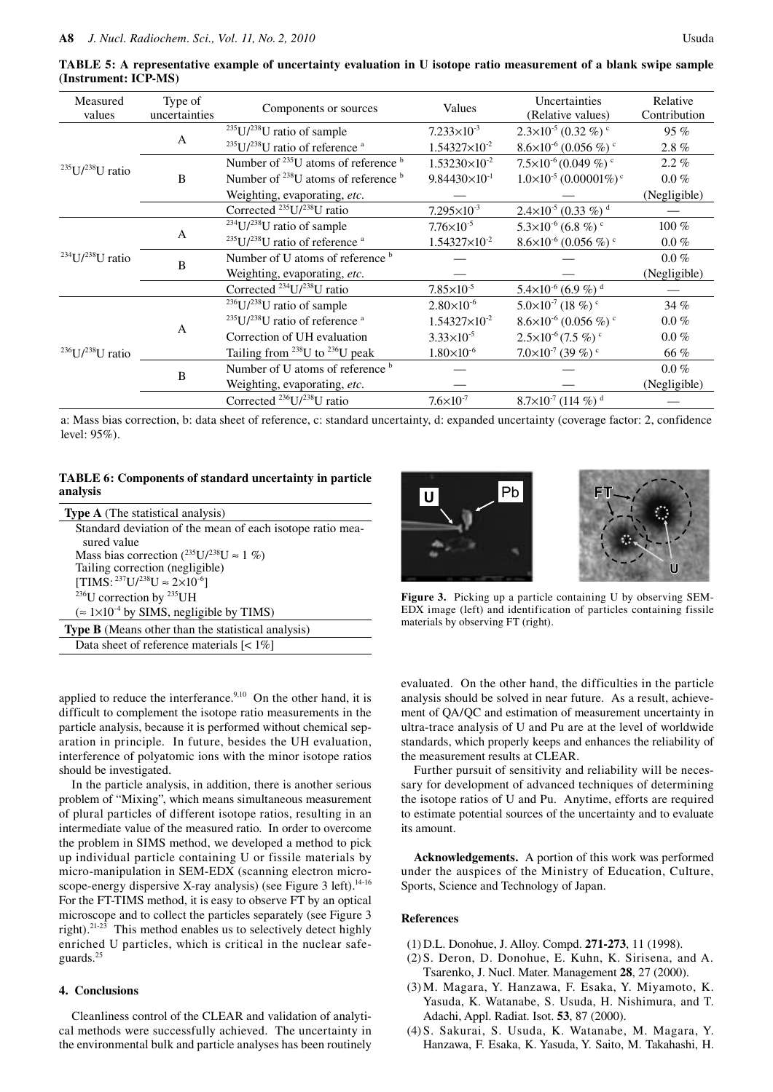| Measured<br>values                     | Type of<br>uncertainties         | Components or sources                                  | Values                                 | Uncertainties<br>(Relative values)         | Relative<br>Contribution |
|----------------------------------------|----------------------------------|--------------------------------------------------------|----------------------------------------|--------------------------------------------|--------------------------|
|                                        |                                  | $235$ U/ $238$ U ratio of sample                       | $7.233 \times 10^{-3}$                 | $2.3\times10^{-5}$ (0.32 %) <sup>c</sup>   | 95 $%$                   |
| $235$ U/ $238$ U ratio<br>B            | A                                | $^{235}$ U/ $^{238}$ U ratio of reference <sup>a</sup> | $1.54327\times10^{-2}$                 | $8.6\times10^{-6}$ (0.056 %) <sup>c</sup>  | 2.8%                     |
|                                        |                                  | Number of $^{235}$ U atoms of reference $^{b}$         | $1.53230\times10^{-2}$                 | $7.5\times10^{-6}$ (0.049 %) $\degree$     | $2.2\%$                  |
|                                        |                                  | Number of $^{238}$ U atoms of reference $^{b}$         | $9.84430\times10^{-1}$                 | $1.0\times10^{-5}$ (0.00001%) <sup>c</sup> | $0.0\%$                  |
|                                        |                                  | Weighting, evaporating, etc.                           |                                        |                                            | (Negligible)             |
|                                        |                                  | Corrected $^{235}U/^{238}U$ ratio                      | $7.295\times10^{-3}$                   | $2.4\times10^{-5}$ (0.33 %) <sup>d</sup>   |                          |
| $234$ U/ $238$ U ratio                 |                                  | $234$ U/ $238$ U ratio of sample                       | $7.76\times10^{-5}$                    | $5.3\times10^{-6}$ (6.8 %) <sup>c</sup>    | $100\%$                  |
|                                        | A                                | $235$ U/ $238$ U ratio of reference <sup>a</sup>       | $1.54327\times10^{-2}$                 | $8.6\times10^{-6}$ (0.056 %) <sup>c</sup>  | $0.0\%$                  |
|                                        | B                                | Number of U atoms of reference b                       |                                        |                                            | $0.0\%$                  |
|                                        |                                  | Weighting, evaporating, etc.                           |                                        |                                            | (Negligible)             |
|                                        |                                  | Corrected $^{234}U/^{238}U$ ratio                      | $7.85 \times 10^{-5}$                  | $5.4\times10^{-6}$ (6.9 %) <sup>d</sup>    |                          |
| A<br>$^{236}$ U/ $^{238}$ U ratio<br>B | $236$ U/ $238$ U ratio of sample | $2.80\times10^{-6}$                                    | $5.0\times10^{-7}$ (18 %) <sup>c</sup> | 34%                                        |                          |
|                                        |                                  | $235$ U/ $238$ U ratio of reference <sup>a</sup>       | $1.54327\times10^{-2}$                 | $8.6\times10^{-6}$ (0.056 %) <sup>c</sup>  | $0.0\%$                  |
|                                        |                                  | Correction of UH evaluation                            | $3.33 \times 10^{-5}$                  | $2.5\times10^{-6}$ (7.5 %) <sup>c</sup>    | $0.0\%$                  |
|                                        |                                  | Tailing from $^{238}$ U to $^{236}$ U peak             | $1.80\times10^{-6}$                    | $7.0\times10^{-7}$ (39 %) <sup>c</sup>     | 66 %                     |
|                                        |                                  | Number of U atoms of reference b                       |                                        |                                            | $0.0\%$                  |
|                                        |                                  | Weighting, evaporating, etc.                           |                                        |                                            | (Negligible)             |
|                                        |                                  | Corrected $^{236}$ U/ $^{238}$ U ratio                 | $7.6 \times 10^{-7}$                   | $8.7\times10^{-7}$ (114 %) <sup>d</sup>    |                          |

**TABLE 5: A representative example of uncertainty evaluation in U isotope ratio measurement of a blank swipe sample (Instrument: ICP-MS)** 

a: Mass bias correction, b: data sheet of reference, c: standard uncertainty, d: expanded uncertainty (coverage factor: 2, confidence level: 95%).

## **TABLE 6: Components of standard uncertainty in particle analysis**

| <b>Type A</b> (The statistical analysis)                  |  |  |
|-----------------------------------------------------------|--|--|
| Standard deviation of the mean of each isotope ratio mea- |  |  |
| sured value                                               |  |  |
| Mass bias correction ( $^{235}U/^{238}U \approx 1\%$ )    |  |  |
| Tailing correction (negligible)                           |  |  |
| $[TIMS: 237U/238U \approx 2\times10^{-6}]$                |  |  |
| <sup>236</sup> U correction by <sup>235</sup> UH          |  |  |
| $\approx 1 \times 10^{-4}$ by SIMS, negligible by TIMS)   |  |  |
| <b>Type B</b> (Means other than the statistical analysis) |  |  |
| Data sheet of reference materials $\leq 1\%$              |  |  |

applied to reduce the interferance.<sup>9,10</sup> On the other hand, it is difficult to complement the isotope ratio measurements in the particle analysis, because it is performed without chemical separation in principle. In future, besides the UH evaluation, interference of polyatomic ions with the minor isotope ratios should be investigated.

In the particle analysis, in addition, there is another serious problem of "Mixing", which means simultaneous measurement of plural particles of different isotope ratios, resulting in an intermediate value of the measured ratio. In order to overcome the problem in SIMS method, we developed a method to pick up individual particle containing U or fissile materials by micro-manipulation in SEM-EDX (scanning electron microscope-energy dispersive X-ray analysis) (see Figure 3 left).<sup>14-16</sup> For the FT-TIMS method, it is easy to observe FT by an optical microscope and to collect the particles separately (see Figure 3 right).21-23 This method enables us to selectively detect highly enriched U particles, which is critical in the nuclear safeguards.<sup>25</sup>

## **4. Conclusions**

Cleanliness control of the CLEAR and validation of analytical methods were successfully achieved. The uncertainty in the environmental bulk and particle analyses has been routinely





**Figure 3.** Picking up a particle containing U by observing SEM-EDX image (left) and identification of particles containing fissile materials by observing FT (right).

evaluated. On the other hand, the difficulties in the particle analysis should be solved in near future. As a result, achievement of QA/QC and estimation of measurement uncertainty in ultra-trace analysis of U and Pu are at the level of worldwide standards, which properly keeps and enhances the reliability of the measurement results at CLEAR.

Further pursuit of sensitivity and reliability will be necessary for development of advanced techniques of determining the isotope ratios of U and Pu. Anytime, efforts are required to estimate potential sources of the uncertainty and to evaluate its amount.

**Acknowledgements.** A portion of this work was performed under the auspices of the Ministry of Education, Culture, Sports, Science and Technology of Japan.

# **References**

- (1) D.L. Donohue, J. Alloy. Compd. **271-273**, 11 (1998).
- (2) S. Deron, D. Donohue, E. Kuhn, K. Sirisena, and A. Tsarenko, J. Nucl. Mater. Management **28**, 27 (2000).
- (3) M. Magara, Y. Hanzawa, F. Esaka, Y. Miyamoto, K. Yasuda, K. Watanabe, S. Usuda, H. Nishimura, and T. Adachi, Appl. Radiat. Isot. **53**, 87 (2000).
- (4) S. Sakurai, S. Usuda, K. Watanabe, M. Magara, Y. Hanzawa, F. Esaka, K. Yasuda, Y. Saito, M. Takahashi, H.